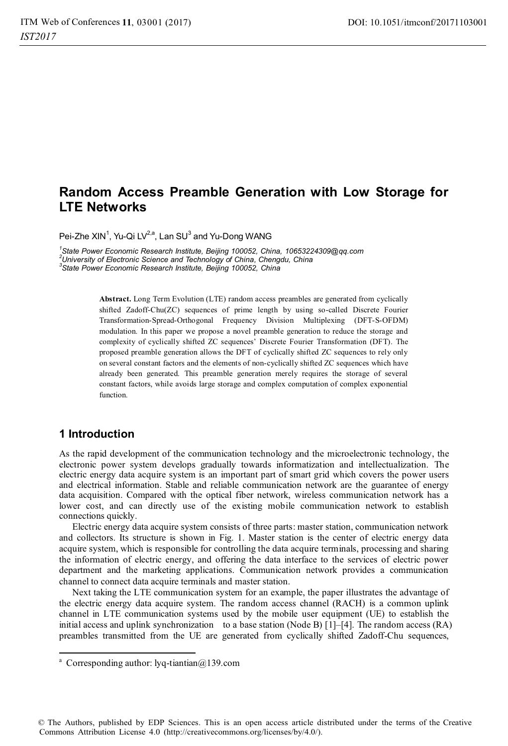# **Random Access Preamble Generation with Low Storage for LTE Networks**

Pei-Zhe XIN<sup>1</sup>, Yu-Qi LV<sup>2,a</sup>, Lan SU<sup>3</sup> and Yu-Dong WANG

*1 State Power Economic Research Institute, Beijing 100052, China, 10653224309@qq.com 2 University of Electronic Science and Technology of China, Chengdu, China 3 State Power Economic Research Institute, Beijing 100052, China* 

> **Abstract.** Long Term Evolution (LTE) random access preambles are generated from cyclically shifted Zadoff-Chu(ZC) sequences of prime length by using so-called Discrete Fourier Transformation-Spread-Orthogonal Frequency Division Multiplexing (DFT-S-OFDM) modulation. In this paper we propose a novel preamble generation to reduce the storage and complexity of cyclically shifted ZC sequences' Discrete Fourier Transformation (DFT). The proposed preamble generation allows the DFT of cyclically shifted ZC sequences to rely only on several constant factors and the elements of non-cyclically shifted ZC sequences which have already been generated. This preamble generation merely requires the storage of several constant factors, while avoids large storage and complex computation of complex exponential function.

### **1 Introduction**

 $\overline{a}$ 

As the rapid development of the communication technology and the microelectronic technology, the electronic power system develops gradually towards informatization and intellectualization. The electric energy data acquire system is an important part of smart grid which covers the power users and electrical information. Stable and reliable communication network are the guarantee of energy data acquisition. Compared with the optical fiber network, wireless communication network has a lower cost, and can directly use of the existing mobile communication network to establish connections quickly.

Electric energy data acquire system consists of three parts: master station, communication network and collectors. Its structure is shown in Fig. 1. Master station is the center of electric energy data acquire system, which is responsible for controlling the data acquire terminals, processing and sharing the information of electric energy, and offering the data interface to the services of electric power department and the marketing applications. Communication network provides a communication channel to connect data acquire terminals and master station.

Next taking the LTE communication system for an example, the paper illustrates the advantage of the electric energy data acquire system. The random access channel (RACH) is a common uplink channel in LTE communication systems used by the mobile user equipment (UE) to establish the initial access and uplink synchronization to a base station (Node B) [1]–[4]. The random access (RA) preambles transmitted from the UE are generated from cyclically shifted Zadoff-Chu sequences,

© The Authors, published by EDP Sciences. This is an open access article distributed under the terms of the Creative Commons Attribution License 4.0 (http://creativecommons.org/licenses/by/4.0/).

a Corresponding author: lyq-tiantian@139.com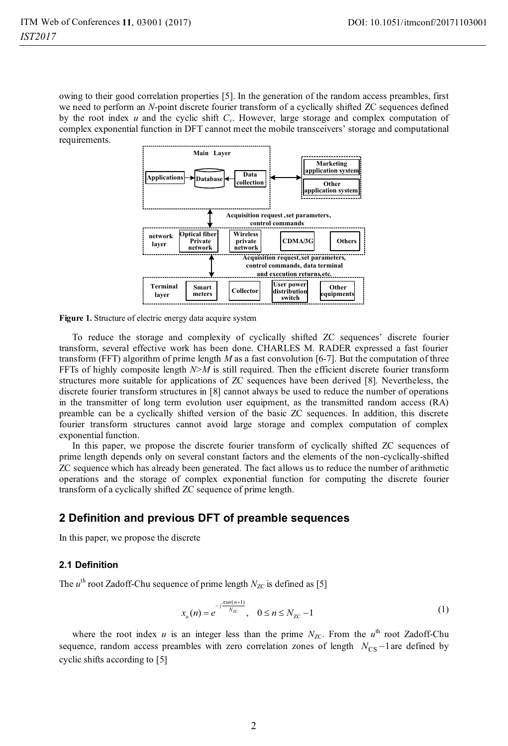owing to their good correlation properties [5]. In the generation of the random access preambles, first we need to perform an *N*-point discrete fourier transform of a cyclically shifted ZC sequences defined by the root index  $u$  and the cyclic shift  $C_v$ . However, large storage and complex computation of complex exponential function in DFT cannot meet the mobile transceivers' storage and computational requirements.



**Figure 1.** Structure of electric energy data acquire system

To reduce the storage and complexity of cyclically shifted ZC sequences' discrete fourier transform, several effective work has been done. CHARLES M. RADER expressed a fast fourier transform (FFT) algorithm of prime length *M* as a fast convolution [6-7]. But the computation of three FFTs of highly composite length *N*>*M* is still required. Then the efficient discrete fourier transform structures more suitable for applications of ZC sequences have been derived [8]. Nevertheless, the discrete fourier transform structures in [8] cannot always be used to reduce the number of operations in the transmitter of long term evolution user equipment, as the transmitted random access (RA) preamble can be a cyclically shifted version of the basic ZC sequences. In addition, this discrete fourier transform structures cannot avoid large storage and complex computation of complex exponential function.

In this paper, we propose the discrete fourier transform of cyclically shifted ZC sequences of prime length depends only on several constant factors and the elements of the non-cyclically-shifted ZC sequence which has already been generated. The fact allows us to reduce the number of arithmetic operations and the storage of complex exponential function for computing the discrete fourier transform of a cyclically shifted ZC sequence of prime length.

### **2 Definition and previous DFT of preamble sequences**

In this paper, we propose the discrete

#### **2.1 Definition**

The  $u^{\text{th}}$  root Zadoff-Chu sequence of prime length  $N_{ZC}$  is defined as [5]

$$
x_u(n) = e^{-j\frac{\pi u n(n+1)}{N_{\text{ZC}}}}, \quad 0 \le n \le N_{\text{ZC}} - 1 \tag{1}
$$

where the root index *u* is an integer less than the prime  $N_{ZC}$ . From the *u*<sup>th</sup> root Zadoff-Chu sequence, random access preambles with zero correlation zones of length  $N_{\text{CS}}-1$  are defined by cyclic shifts according to [5]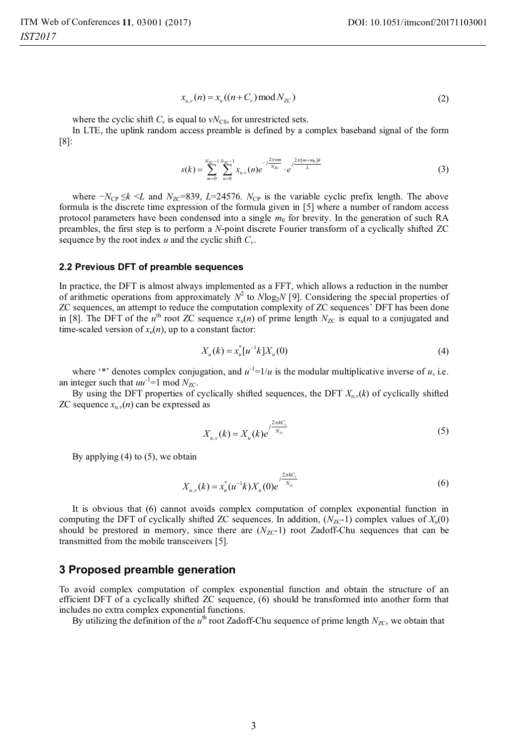$$
x_{u,v}(n) = x_u((n + C_v) \bmod N_{ZC})
$$
\n(2)

where the cyclic shift  $C_v$  is equal to  $vN_{\text{CS}}$ , for unrestricted sets.

In LTE, the uplink random access preamble is defined by a complex baseband signal of the form [8]:

$$
s(k) = \sum_{m=0}^{N_{\text{TC}}-1} \sum_{n=0}^{N_{\text{TC}}-1} x_{u,v}(n) e^{-j\frac{2\pi n m}{N_{\text{TC}}}} \cdot e^{j\frac{2\pi (m+m_0)k}{L}}
$$
(3)

*where −N<sub>CP</sub>* ≤*k* <*L* and *N<sub>ZC</sub>*=839, *L*=24576. *N<sub>CP</sub>* is the variable cyclic prefix length. The above formula is the discrete time expression of the formula given in [5] where a number of random access protocol parameters have been condensed into a single  $m<sub>0</sub>$  for brevity. In the generation of such RA preambles, the first step is to perform a *N*-point discrete Fourier transform of a cyclically shifted ZC sequence by the root index  $u$  and the cyclic shift  $C_v$ .

#### **2.2 Previous DFT of preamble sequences**

In practice, the DFT is almost always implemented as a FFT, which allows a reduction in the number of arithmetic operations from approximately  $N^2$  to  $N\log_2N$  [9]. Considering the special properties of ZC sequences, an attempt to reduce the computation complexity of ZC sequences' DFT has been done in [8]. The DFT of the  $u^{\text{th}}$  root ZC sequence  $x_u(n)$  of prime length  $N_{ZC}$  is equal to a conjugated and time-scaled version of  $x<sub>u</sub>(n)$ , up to a constant factor:

$$
X_u(k) = x_u^*[u^{-1}k]X_u(0)
$$
\n(4)

where '\*' denotes complex conjugation, and  $u^{-1}=1/u$  is the modular multiplicative inverse of *u*, i.e. an integer such that  $uu^{-1}=1$  mod  $N_{ZC}$ .

By using the DFT properties of cyclically shifted sequences, the DFT *Xu,v*(*k*) of cyclically shifted ZC sequence  $x_{uv}(n)$  can be expressed as

$$
X_{u,v}(k) = X_u(k)e^{j\frac{2\pi kC_v}{N_{x}}}
$$
\n(5)

By applying  $(4)$  to  $(5)$ , we obtain

$$
X_{u,v}(k) = x_u^*(u^{-1}k)X_u(0)e^{j\frac{2\pi kC_v}{N_{xx}}}
$$
\n(6)

It is obvious that (6) cannot avoids complex computation of complex exponential function in computing the DFT of cyclically shifted ZC sequences. In addition,  $(N_{ZC} - 1)$  complex values of  $X_u(0)$ should be prestored in memory, since there are  $(N_{ZC}-1)$  root Zadoff-Chu sequences that can be transmitted from the mobile transceivers [5].

#### **3 Proposed preamble generation**

To avoid complex computation of complex exponential function and obtain the structure of an efficient DFT of a cyclically shifted ZC sequence, (6) should be transformed into another form that includes no extra complex exponential functions.

By utilizing the definition of the  $u<sup>th</sup>$  root Zadoff-Chu sequence of prime length  $N_{ZC}$ , we obtain that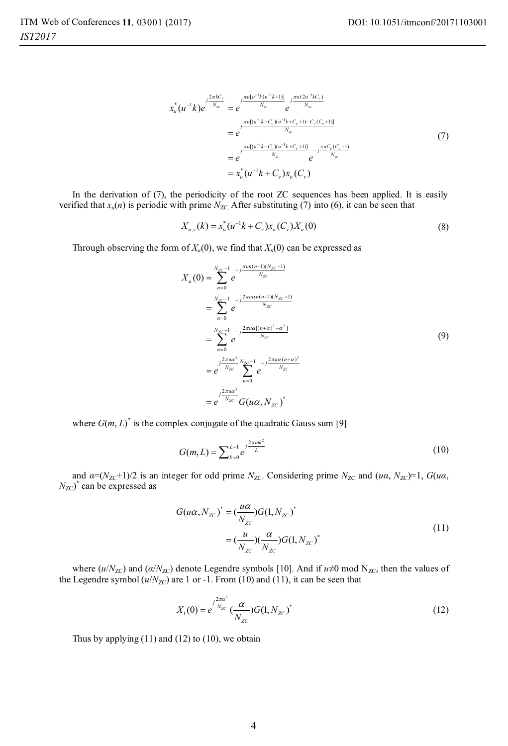$$
x_{u}^{*}(u^{-1}k)e^{\int \frac{2\pi kC_{v}}{N_{x}}} = e^{\int \frac{\pi u[u^{-1}k(u^{-1}k+1)]}{N_{x}}} e^{\int \frac{\pi u(2u^{-1}kC_{v})}{N_{x}}} = e^{\int \frac{\pi u[(u^{-1}k+C_{v})(u^{-1}k+C_{v}+1)-C_{v}(C_{v}+1)]}{N_{x}}} = e^{\int \frac{\pi u[(u^{-1}k+C_{v})(u^{-1}k+C_{v}+1)]}{N_{x}}} e^{-\int \frac{\pi uC_{v}(C_{v}+1)}{N_{x}}} = x_{u}^{*}(u^{-1}k+C_{v})x_{u}(C_{v})
$$
\n(7)

In the derivation of (7), the periodicity of the root ZC sequences has been applied. It is easily verified that  $x_u(n)$  is periodic with prime  $N_{ZC}$ . After substituting (7) into (6), it can be seen that

$$
X_{u,v}(k) = x_u^*(u^{-1}k + C_v)x_u(C_v)X_u(0)
$$
\n(8)

Through observing the form of  $X_u(0)$ , we find that  $X_u(0)$  can be expressed as

$$
X_u(0) = \sum_{n=0}^{N_{ZC} - 1} e^{-j\frac{\pi u n (n+1)(N_{ZC} + 1)}{N_{ZC}}} = \sum_{n=0}^{N_{ZC} - 1} e^{-j\frac{2\pi u \alpha (n+1)(N_{ZC} + 1)}{N_{ZC}}} = \sum_{n=0}^{N_{ZC} - 1} e^{-j\frac{2\pi u \alpha [(n+\alpha)^2 - \alpha^2]}{N_{ZC}}} = e^{-j\frac{2\pi u \alpha^3}{N_{ZC}}} \sum_{n=0}^{N_{ZC} - 1} e^{-j\frac{2\pi u \alpha (n+\alpha)^2}{N_{ZC}}} = e^{-j\frac{2\pi u \alpha^3}{N_{ZC}}} G(u\alpha, N_{ZC})^*
$$

where  $G(m, L)^*$  is the complex conjugate of the quadratic Gauss sum [9]

$$
G(m, L) = \sum_{k=0}^{L-1} e^{j\frac{2\pi mk^2}{L}}
$$
\n(10)

and  $\alpha = (N_{ZC} + 1)/2$  is an integer for odd prime  $N_{ZC}$ . Considering prime  $N_{ZC}$  and  $(u\alpha, N_{ZC}) = 1$ ,  $G(u\alpha, N_{ZC}) = 1$  $N_{\text{ZC}}$ <sup>\*</sup> can be expressed as

$$
G(u\alpha, N_{zc})^* = \left(\frac{u\alpha}{N_{zc}}\right)G(1, N_{zc})^*
$$
  

$$
= \left(\frac{u}{N_{zc}}\right)\left(\frac{\alpha}{N_{zc}}\right)G(1, N_{zc})^*
$$
 (11)

where ( $u/N_{\text{ZC}}$ ) and ( $\alpha/N_{\text{ZC}}$ ) denote Legendre symbols [10]. And if  $u\neq 0$  mod N<sub>ZC</sub>, then the values of the Legendre symbol  $(u/N_{ZC})$  are 1 or -1. From (10) and (11), it can be seen that

$$
X_1(0) = e^{\int \frac{2\pi a^3}{N_{ZC}}} \left(\frac{\alpha}{N_{ZC}}\right) G(1, N_{ZC})^* \tag{12}
$$

Thus by applying  $(11)$  and  $(12)$  to  $(10)$ , we obtain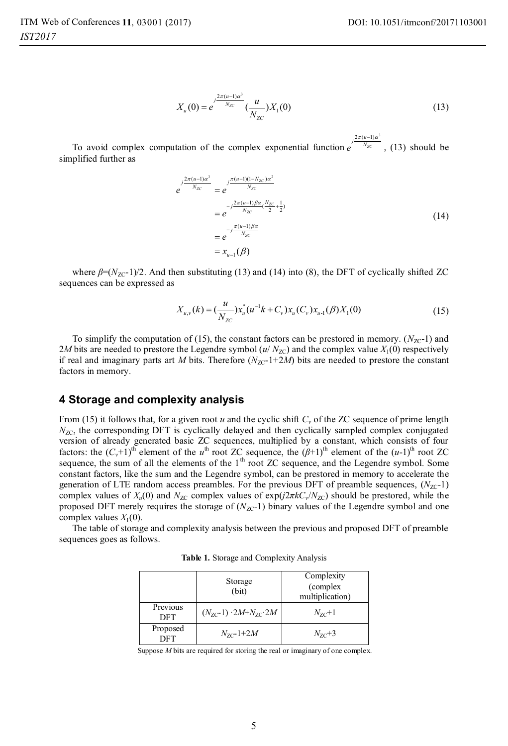$$
X_u(0) = e^{-\int \frac{j^{2\pi(u-1)\alpha^3}}{N_{ZC}}} \left(\frac{u}{N_{ZC}}\right) X_1(0) \tag{13}
$$

To avoid complex computation of the complex exponential function  $e^{j\frac{2\pi(u-1)\alpha^3}{N_{\mathcal{K}}}}$ , (13) should be  $2\pi(u-1)\alpha^3$ simplified further as

$$
e^{-\frac{j^{2\pi(u-1)\alpha^{3}}N_{\chi c}}{N_{\chi c}}} = e^{-j\frac{\pi(u-1)(1-N_{\chi c})\alpha^{2}}{N_{\chi c}}}
$$
  
= 
$$
e^{-j\frac{2\pi(u-1)\beta\alpha}{N_{\chi c}}\frac{N_{\chi c}}{2} + \frac{1}{2})}
$$
  
= 
$$
e^{-j\frac{\pi(u-1)\beta\alpha}{N_{\chi c}}}
$$
  
= 
$$
x_{u-1}(\beta)
$$
 (14)

where  $\beta = (N_{ZC} - 1)/2$ . And then substituting (13) and (14) into (8), the DFT of cyclically shifted ZC sequences can be expressed as

$$
X_{u,v}(k) = \left(\frac{u}{N_{ZC}}\right)x_u^*(u^{-1}k + C_v)x_u(C_v)x_{u-1}(\beta)X_1(0)
$$
\n(15)

To simplify the computation of (15), the constant factors can be prestored in memory.  $(N_{ZC} - 1)$  and 2*M* bits are needed to prestore the Legendre symbol ( $u/N_{TC}$ ) and the complex value  $X_1(0)$  respectively if real and imaginary parts art *M* bits. Therefore  $(N_{ZC-1}+2M)$  bits are needed to prestore the constant factors in memory.

#### **4 Storage and complexity analysis**

From (15) it follows that, for a given root *u* and the cyclic shift  $C<sub>v</sub>$  of the ZC sequence of prime length  $N_{ZC}$ , the corresponding DFT is cyclically delayed and then cyclically sampled complex conjugated version of already generated basic ZC sequences, multiplied by a constant, which consists of four factors: the  $(C_v+1)^{\text{th}}$  element of the  $u^{\text{th}}$  root ZC sequence, the  $(\beta+1)^{\text{th}}$  element of the  $(u-1)^{\text{th}}$  root ZC sequence, the sum of all the elements of the  $1<sup>th</sup>$  root ZC sequence, and the Legendre symbol. Some constant factors, like the sum and the Legendre symbol, can be prestored in memory to accelerate the generation of LTE random access preambles. For the previous DFT of preamble sequences,  $(N_{ZC} - 1)$ complex values of  $X_u(0)$  and  $N_{ZC}$  complex values of exp( $j2\pi kC_v/N_{ZC}$ ) should be prestored, while the proposed DFT merely requires the storage of  $(N_{ZC} - 1)$  binary values of the Legendre symbol and one complex values  $X_1(0)$ .

The table of storage and complexity analysis between the previous and proposed DFT of preamble sequences goes as follows.

|                        | Storage<br>(bit)                          | Complexity<br>(complex)<br>multiplication) |
|------------------------|-------------------------------------------|--------------------------------------------|
| Previous<br><b>DFT</b> | $(N_{7C} - 1) \cdot 2M + N_{7C} \cdot 2M$ | $N_{7c}$ +1                                |
| Proposed<br><b>DFT</b> | $N_{7c}$ -1+2 $M$                         | $N_{7C}$ +3                                |

**Table 1.** Storage and Complexity Analysis

Suppose *M* bits are required for storing the real or imaginary of one complex.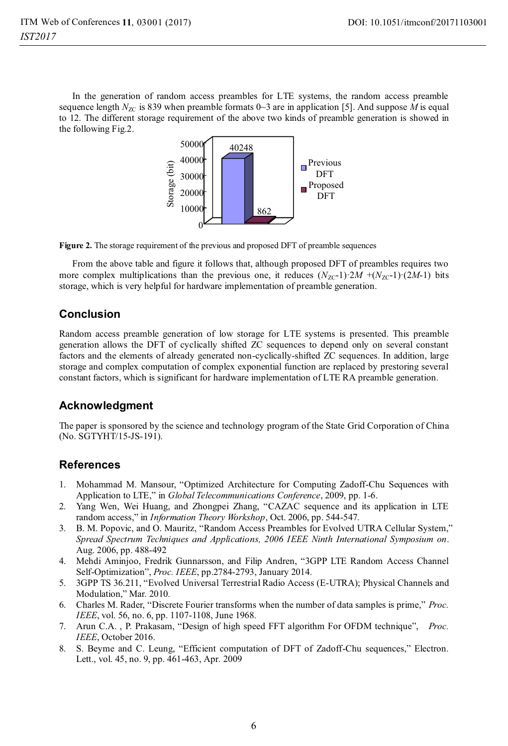In the generation of random access preambles for LTE systems, the random access preamble sequence length  $N_{ZC}$  is 839 when preamble formats 0~3 are in application [5]. And suppose M is equal to 12. The different storage requirement of the above two kinds of preamble generation is showed in the following Fig.2.



**Figure 2.** The storage requirement of the previous and proposed DFT of preamble sequences

From the above table and figure it follows that, although proposed DFT of preambles requires two more complex multiplications than the previous one, it reduces  $(N_{ZC} - 1) \cdot 2M + (N_{ZC} - 1) \cdot (2M - 1)$  bits storage, which is very helpful for hardware implementation of preamble generation.

### **Conclusion**

Random access preamble generation of low storage for LTE systems is presented. This preamble generation allows the DFT of cyclically shifted ZC sequences to depend only on several constant factors and the elements of already generated non-cyclically-shifted ZC sequences. In addition, large storage and complex computation of complex exponential function are replaced by prestoring several constant factors, which is significant for hardware implementation of LTE RA preamble generation.

# **Acknowledgment**

The paper is sponsored by the science and technology program of the State Grid Corporation of China (No. SGTYHT/15-JS-191).

# **References**

- 1. Mohammad M. Mansour, "Optimized Architecture for Computing Zadoff-Chu Sequences with Application to LTE," in *Global Telecommunications Conference*, 2009, pp. 1-6.
- 2. Yang Wen, Wei Huang, and Zhongpei Zhang, "CAZAC sequence and its application in LTE random access," in *Information Theory Workshop*, Oct. 2006, pp. 544-547.
- 3. B. M. Popovic, and O. Mauritz, "Random Access Preambles for Evolved UTRA Cellular System," *Spread Spectrum Techniques and Applications, 2006 IEEE Ninth International Symposium on*. Aug. 2006, pp. 488-492
- 4. Mehdi Aminjoo, Fredrik Gunnarsson, and Filip Andren, "3GPP LTE Random Access Channel Self-Optimization", *Proc. IEEE*, pp.2784-2793, January 2014.
- 5. 3GPP TS 36.211, "Evolved Universal Terrestrial Radio Access (E-UTRA); Physical Channels and Modulation," Mar. 2010.
- 6. Charles M. Rader, "Discrete Fourier transforms when the number of data samples is prime," *Proc. IEEE*, vol. 56, no. 6, pp. 1107-1108, June 1968.
- 7. Arun C.A. , P. Prakasam, "Design of high speed FFT algorithm For OFDM technique", *Proc. IEEE*, October 2016.
- 8. S. Beyme and C. Leung, "Efficient computation of DFT of Zadoff-Chu sequences," Electron. Lett., vol. 45, no. 9, pp. 461-463, Apr. 2009